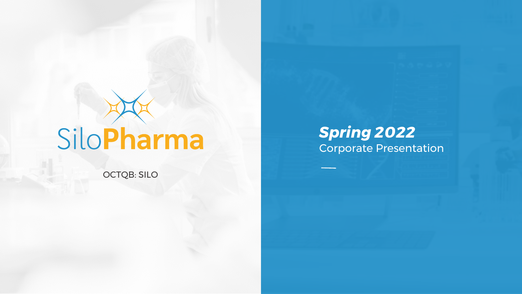## SiloPharma

OCTQB: SILO

*Spring 2022* Corporate Presentation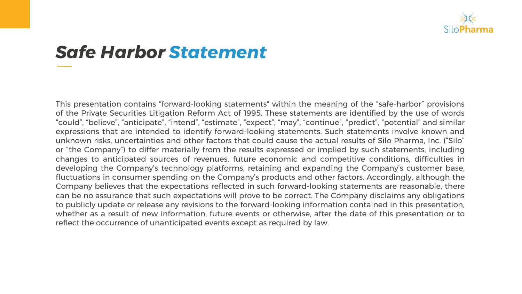

## *Safe Harbor Statement*

This presentation contains "forward-looking statements" within the meaning of the "safe-harbor" provisions of the Private Securities Litigation Reform Act of 1995. These statements are identified by the use of words "could", "believe", "anticipate", "intend", "estimate", "expect", "may", "continue", "predict", "potential" and similar expressions that are intended to identify forward-looking statements. Such statements involve known and unknown risks, uncertainties and other factors that could cause the actual results of Silo Pharma, Inc. ("Silo" or "the Company") to differ materially from the results expressed or implied by such statements, including changes to anticipated sources of revenues, future economic and competitive conditions, difficulties in developing the Company's technology platforms, retaining and expanding the Company's customer base, fluctuations in consumer spending on the Company's products and other factors. Accordingly, although the Company believes that the expectations reflected in such forward-looking statements are reasonable, there can be no assurance that such expectations will prove to be correct. The Company disclaims any obligations to publicly update or release any revisions to the forward-looking information contained in this presentation, whether as a result of new information, future events or otherwise, after the date of this presentation or to reflect the occurrence of unanticipated events except as required by law.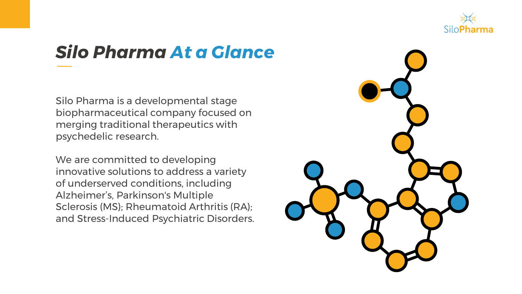

## *Silo Pharma At a Glance*

Silo Pharma is a developmental stage biopharmaceutical company focused on merging traditional therapeutics with psychedelic research.

We are committed to developing innovative solutions to address a variety of underserved conditions, including Alzheimer's, Parkinson's Multiple Sclerosis (MS); Rheumatoid Arthritis (RA); and Stress-Induced Psychiatric Disorders.

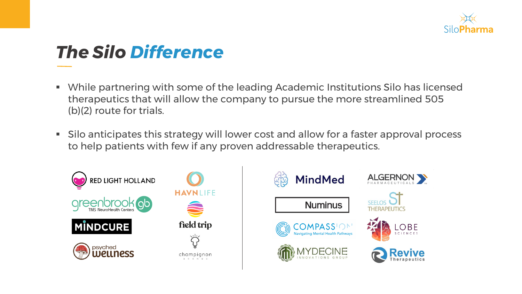

## *The Silo Difference*

- While partnering with some of the leading Academic Institutions Silo has licensed therapeutics that will allow the company to pursue the more streamlined 505 (b)(2) route for trials.
- Silo anticipates this strategy will lower cost and allow for a faster approval process to help patients with few if any proven addressable therapeutics.



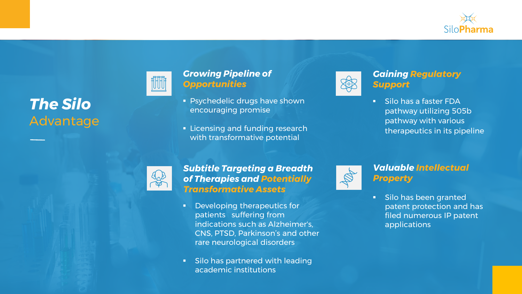



*The Silo* 

Advantage

#### *Growing Pipeline of Opportunities*

- **· Psychedelic drugs have shown** encouraging promise
- **Exercising and funding research** with transformative potential



#### *Gaining Regulatory Support*

■ Silo has a faster FDA pathway utilizing 505b pathway with various therapeutics in its pipeline



*Subtitle Targeting a Breadth of Therapies and Potentially Transformative Assets*

- Developing therapeutics for patients suffering from indications such as Alzheimer's, CNS, PTSD, Parkinson's and other rare neurological disorders
- Silo has partnered with leading academic institutions



#### *Valuable Intellectual Property*

**EXE** Silo has been granted patent protection and has filed numerous IP patent applications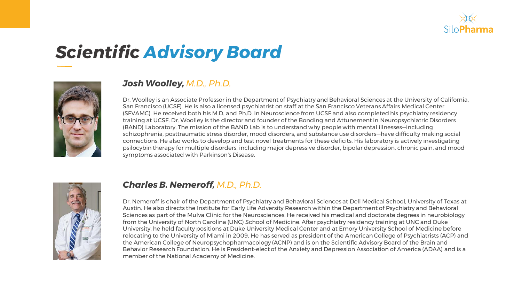

## *Scientific Advisory Board*



#### *Josh Woolley, M.D., Ph.D.*

Dr. Woolley is an Associate Professor in the Department of Psychiatry and Behavioral Sciences at the University of California, San Francisco (UCSF). He is also a licensed psychiatrist on staff at the San Francisco Veterans Affairs Medical Center (SFVAMC). He received both his M.D. and Ph.D. in Neuroscience from UCSF and also completed his psychiatry residency training at UCSF. Dr. Woolley is the director and founder of the Bonding and Attunement in Neuropsychiatric Disorders (BAND) Laboratory. The mission of the BAND Lab is to understand why people with mental illnesses—including schizophrenia, posttraumatic stress disorder, mood disorders, and substance use disorders—have difficulty making social connections. He also works to develop and test novel treatments for these deficits. His laboratory is actively investigating psilocybin therapy for multiple disorders, including major depressive disorder, bipolar depression, chronic pain, and mood symptoms associated with Parkinson's Disease.



#### *Charles B. Nemeroff, M.D., Ph.D.*

Dr. Nemeroff is chair of the Department of Psychiatry and Behavioral Sciences at Dell Medical School, University of Texas at Austin. He also directs the Institute for Early Life Adversity Research within the Department of Psychiatry and Behavioral Sciences as part of the Mulva Clinic for the Neurosciences. He received his medical and doctorate degrees in neurobiology from the University of North Carolina (UNC) School of Medicine. After psychiatry residency training at UNC and Duke University, he held faculty positions at Duke University Medical Center and at Emory University School of Medicine before relocating to the University of Miami in 2009. He has served as president of the American College of Psychiatrists (ACP) and the American College of Neuropsychopharmacology (ACNP) and is on the Scientific Advisory Board of the Brain and Behavior Research Foundation. He is President-elect of the Anxiety and Depression Association of America (ADAA) and is a member of the National Academy of Medicine.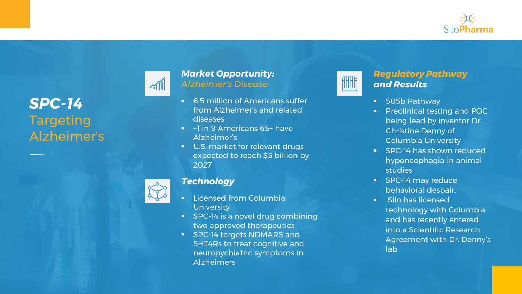





#### *Market Opportunity: Alzheimer's Disease*

- 6.5 million of Americans suffer from Alzheimer's and related diseases
- ~1 in 9 Americans 65+ have Alzheimer's
- U.S. market for relevant drugs expected to reach \$5 billion by 2027

#### *Technology*

- **Licensed from Columbia University**
- **EXELUTE:** SPC-14 is a novel drug combining two approved therapeutics
- **E** SPC-14 targets NDMARS and 5HT4Rs to treat cognitive and neuropychiatric symptoms in Alzheimers



#### *Regulatory Pathway and Results*

- 505b Pathway
- Preclinical testing and POC being lead by inventor Dr. Christine Denny of Columbia University
- **SPC-14 has shown reduced** hyponeophagia in animal studies
- **SPC-14 may reduce** behavioral despair.
- Silo has licensed technology with Columbia and has recently entered into a Scientific Research Agreement with Dr. Denny's lab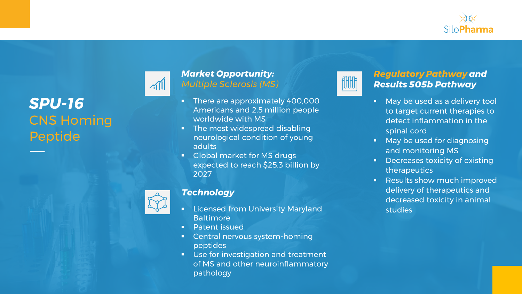





#### *Market Opportunity: Multiple Sclerosis (MS)*

- **There are approximately 400,000** Americans and 2.5 million people worldwide with MS
- **•** The most widespread disabling neurological condition of young adults
- **EXECT:** Global market for MS drugs expected to reach \$25.3 billion by 2027

#### *Technology*

- **Licensed from University Maryland** Baltimore
- Patent issued
- **EXECTE 12 Induced Contrary** Central nervous system-homing peptides
- Use for investigation and treatment of MS and other neuroinflammatory pathology



#### *Regulatory Pathway and Results 505b Pathway*

- May be used as a delivery tool to target current therapies to detect inflammation in the spinal cord
- May be used for diagnosing and monitoring MS
- **EXEC** Decreases toxicity of existing therapeutics
- Results show much improved delivery of therapeutics and decreased toxicity in animal studies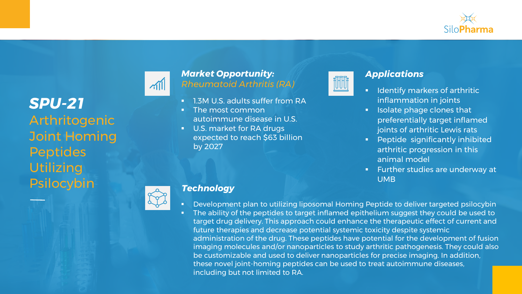

*SPU-21* Arthritogenic Joint Homing Peptides **Utilizing** Psilocybin



#### *Market Opportunity: Rheumatoid Arthritis (RA)*

- 1.3M U.S. adults suffer from RA
- The most common autoimmune disease in U.S.
- U.S. market for RA drugs expected to reach \$63 billion by 2027



- **EXEDENT** Identify markers of arthritic inflammation in joints
- Isolate phage clones that preferentially target inflamed joints of arthritic Lewis rats
- Peptide significantly inhibited arthritic progression in this animal model
- Further studies are underway at UMB



*Technology*

Development plan to utilizing liposomal Homing Peptide to deliver targeted psilocybin The ability of the peptides to target inflamed epithelium suggest they could be used to target drug delivery. This approach could enhance the therapeutic effect of current and future therapies and decrease potential systemic toxicity despite systemic administration of the drug. These peptides have potential for the development of fusion imaging molecules and/or nanoparticles to study arthritic pathogenesis. They could also be customizable and used to deliver nanoparticles for precise imaging. In addition, these novel joint-homing peptides can be used to treat autoimmune diseases, including but not limited to RA.

删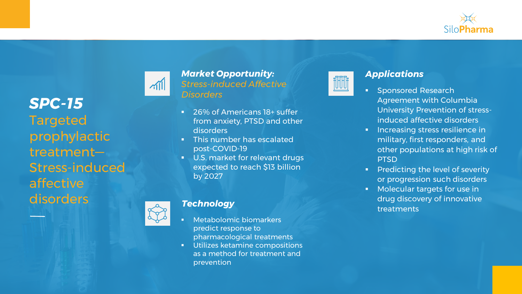

*SPC -15* Targeted prophylactic treatment — Stress -induced affective disorders



#### *Market Opportunity: Stress -induced Affective Disorders*

- 26% of Americans 18+ suffer from anxiety, PTSD and other disorders
- This number has escalated post -COVID -19
- U.S. market for relevant drugs expected to reach \$13 billion by 2027

#### *Technology*

- Metabolomic biomarkers predict response to pharmacological treatments
- Utilizes ketamine compositions as a method for treatment and prevention



#### *Applications*

- **F** Sponsored Research Agreement with Columbia University Prevention of stress induced affective disorders
- **·** Increasing stress resilience in military, first responders, and other populations at high risk of **PTSD**
- Predicting the level of severity or progression such disorders
- Molecular targets for use in drug discovery of innovative treatments

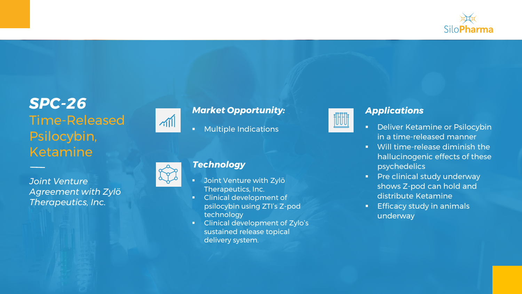

### *SPC -26* Time -Released Psilocybin, Ketamine

*Joint Venture Agreement with Zylö Therapeutics, Inc.*



#### *Market Opportunity:*

▪ Multiple Indications

#### *Technology*

- **■** Joint Venture with Zylö Therapeutics, Inc.
- **•** Clinical development of psilocybin using ZTI's Z -pod technology
- **•** Clinical development of Zylo's sustained release topical delivery system.



#### *Applications*

- **•** Deliver Ketamine or Psilocybin in a time -released manner
- **•** Will time-release diminish the hallucinogenic effects of these psychedelics
- Pre clinical study underway shows Z -pod can hold and distribute Ketamine
- **Efficacy study in animals** underway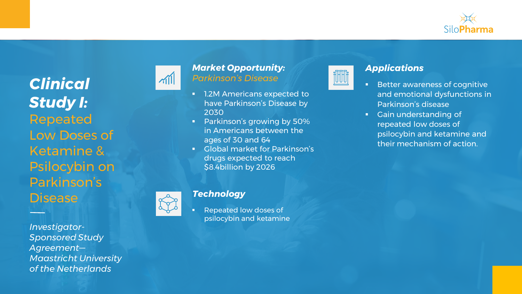

*Clinical Study I:* Repeated Low Doses of Ketamine & Psilocybin on Parkinson's **Disease** 





#### *Market Opportunity: Parkinson's Disease*

- **.** 1.2M Americans expected to have Parkinson's Disease by 2030
- **•** Parkinson's growing by 50% in Americans between the ages of 30 and 64
- Global market for Parkinson's drugs expected to reach \$8.4billion by 2026

#### *Technology*

Repeated low doses of psilocybin and ketamine



#### *Applications*

- **EXEC** Better awareness of cognitive and emotional dysfunctions in Parkinson's disease
- Gain understanding of repeated low doses of psilocybin and ketamine and their mechanism of action.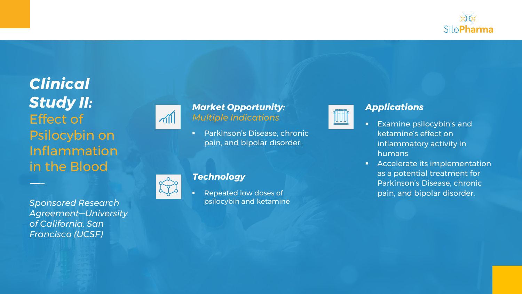

*Clinical Study II:* Effect of Psilocybin on Inflammation in the Blood

*Francisco (UCSF)*



#### *Market Opportunity: Multiple Indications*

**·** Parkinson's Disease, chronic pain, and bipolar disorder.

#### *Technology*

*Sponsored Research Agreement—University of California, San* 





删

- Examine psilocybin's and ketamine's effect on inflammatory activity in humans
- Accelerate its implementation as a potential treatment for Parkinson's Disease, chronic pain, and bipolar disorder.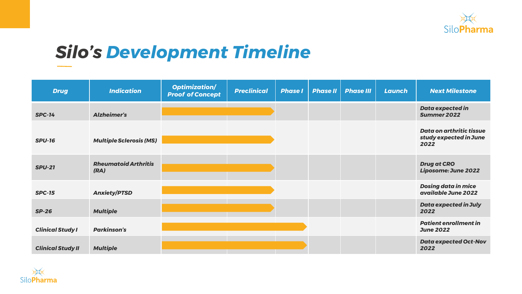

## *Silo's Development Timeline*

| <b>Drug</b>              | <b>Indication</b>                   | <b>Optimization/</b><br><b>Proof of Concept</b> | <b>Preclinical</b> | <b>Phase I</b> | <b>Phase II</b> | <b>Phase III</b> | Launch | <b>Next Milestone</b>                                      |
|--------------------------|-------------------------------------|-------------------------------------------------|--------------------|----------------|-----------------|------------------|--------|------------------------------------------------------------|
| <b>SPC-14</b>            | <b>Alzheimer's</b>                  |                                                 |                    |                |                 |                  |        | <b>Data expected in</b><br>Summer 2022                     |
| <b>SPU-16</b>            | <b>Multiple Sclerosis (MS)</b>      |                                                 |                    |                |                 |                  |        | Data on arthritic tissue<br>study expected in June<br>2022 |
| <b>SPU-21</b>            | <b>Rheumatoid Arthritis</b><br>(RA) |                                                 |                    |                |                 |                  |        | <b>Drug at CRO</b><br>Liposome: June 2022                  |
| <b>SPC-15</b>            | <b>Anxiety/PTSD</b>                 |                                                 |                    |                |                 |                  |        | <b>Dosing data in mice</b><br>available June 2022          |
| $SP-26$                  | <b>Multiple</b>                     |                                                 |                    |                |                 |                  |        | <b>Data expected in July</b><br>2022                       |
| <b>Clinical Study I</b>  | <b>Parkinson's</b>                  |                                                 |                    |                |                 |                  |        | <b>Patient enrollment in</b><br><b>June 2022</b>           |
| <b>Clinical Study II</b> | <b>Multiple</b>                     |                                                 |                    |                |                 |                  |        | <b>Data expected Oct-Nov</b><br>2022                       |

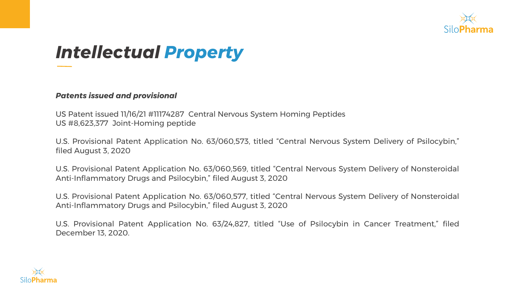

## *Intellectual Property*

#### *Patents issued and provisional*

US Patent issued 11/16/21 #11174287 Central Nervous System Homing Peptides US #8,623,377 Joint-Homing peptide

U.S. Provisional Patent Application No. 63/060,573, titled "Central Nervous System Delivery of Psilocybin," filed August 3, 2020

U.S. Provisional Patent Application No. 63/060,569, titled "Central Nervous System Delivery of Nonsteroidal Anti-Inflammatory Drugs and Psilocybin," filed August 3, 2020

U.S. Provisional Patent Application No. 63/060,577, titled "Central Nervous System Delivery of Nonsteroidal Anti-Inflammatory Drugs and Psilocybin," filed August 3, 2020

U.S. Provisional Patent Application No. 63/24,827, titled "Use of Psilocybin in Cancer Treatment," filed December 13, 2020.

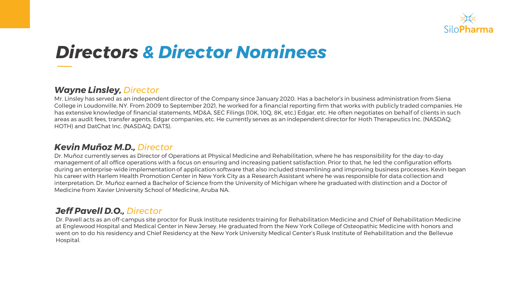

## *Directors & Director Nominees*

#### *Wayne Linsley, Director*

Mr. Linsley has served as an independent director of the Company since January 2020. Has a bachelor's in business administration from Siena College in Loudonville, NY. From 2009 to September 2021, he worked for a financial reporting firm that works with publicly traded companies. He has extensive knowledge of financial statements, MD&A, SEC Filings (10K, 10Q, 8K, etc.) Edgar, etc. He often negotiates on behalf of clients in such areas as audit fees, transfer agents, Edgar companies, etc. He currently serves as an independent director for Hoth Therapeutics Inc. (NASDAQ: HOTH) and DatChat Inc. (NASDAQ: DATS).

#### *Kevin Muñoz M.D., Director*

Dr. Muñoz currently serves as Director of Operations at Physical Medicine and Rehabilitation, where he has responsibility for the day-to-day management of all office operations with a focus on ensuring and increasing patient satisfaction. Prior to that, he led the configuration efforts during an enterprise-wide implementation of application software that also included streamlining and improving business processes. Kevin began his career with Harlem Health Promotion Center in New York City as a Research Assistant where he was responsible for data collection and interpretation. Dr. Muñoz earned a Bachelor of Science from the University of Michigan where he graduated with distinction and a Doctor of Medicine from Xavier University School of Medicine, Aruba NA.

#### *Jeff Pavell D.O., Director*

Dr. Pavell acts as an off-campus site proctor for Rusk Institute residents training for Rehabilitation Medicine and Chief of Rehabilitation Medicine at Englewood Hospital and Medical Center in New Jersey. He graduated from the New York College of Osteopathic Medicine with honors and went on to do his residency and Chief Residency at the New York University Medical Center's Rusk Institute of Rehabilitation and the Bellevue Hospital.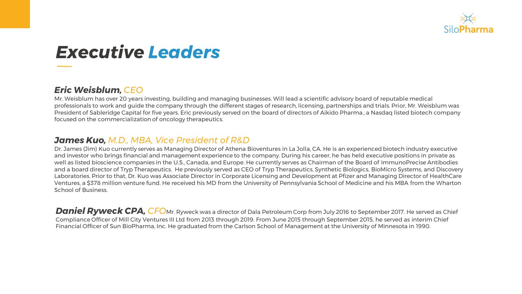

## *Executive Leaders*

#### *Eric Weisblum, CEO*

Mr. Weisblum has over 20 years investing, building and managing businesses. Will lead a scientific advisory board of reputable medical professionals to work and guide the company through the different stages of research, licensing, partnerships and trials. Prior, Mr. Weisblum was President of Sableridge Capital for five years. Eric previously served on the board of directors of Aikido Pharma., a Nasdaq listed biotech company focused on the commercialization of oncology therapeutics.

#### *James Kuo, M.D., MBA, Vice President of R&D*

Dr. James (Jim) Kuo currently serves as Managing Director of Athena Bioventures in La Jolla, CA. He is an experienced biotech industry executive and investor who brings financial and management experience to the company. During his career, he has held executive positions in private as well as listed bioscience companies in the U.S., Canada, and Europe. He currently serves as Chairman of the Board of ImmunoPrecise Antibodies and a board director of Tryp Therapeutics. He previously served as CEO of Tryp Therapeutics, Synthetic Biologics, BioMicro Systems, and Discovery Laboratories. Prior to that, Dr. Kuo was Associate Director in Corporate Licensing and Development at Pfizer and Managing Director of HealthCare Ventures, a \$378 million venture fund. He received his MD from the University of Pennsylvania School of Medicine and his MBA from the Wharton School of Business.

*Daniel Ryweck CPA, CFO*Mr. Ryweck was a director of Dala Petroleum Corp from July 2016 to September 2017. He served as Chief Compliance Officer of Mill City Ventures III Ltd from 2013 through 2019. From June 2015 through September 2015, he served as interim Chief Financial Officer of Sun BioPharma, Inc. He graduated from the Carlson School of Management at the University of Minnesota in 1990.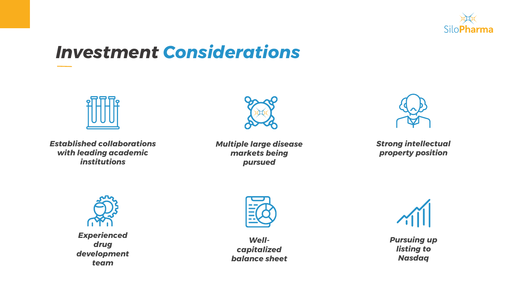

## *Investment Considerations*



*Established collaborations with leading academic institutions*



*Multiple large disease markets being pursued*



*Strong intellectual property position*



*Experienced drug development team*



*Wellcapitalized balance sheet*

*Pursuing up listing to Nasdaq*